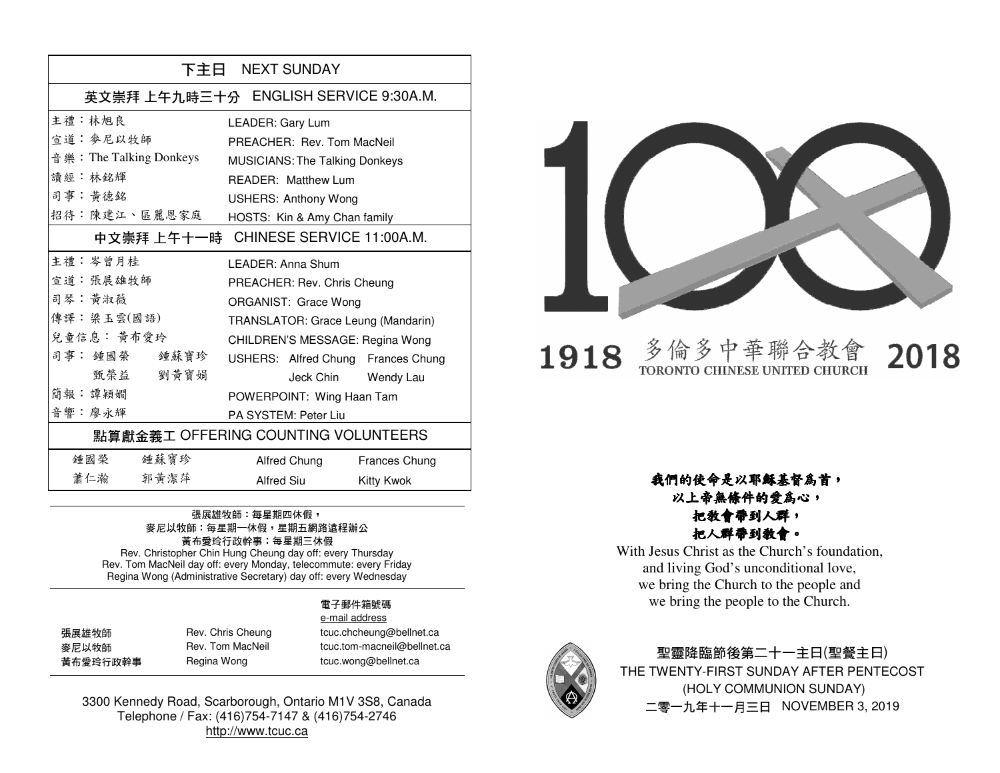| 下主日 NEXT SUNDAY                      |                                       |               |
|--------------------------------------|---------------------------------------|---------------|
|                                      | 英文崇拜 上午九時三十分 ENGLISH SERVICE 9:30A.M. |               |
| 主禮 · 林旭良                             | LEADER: Gary Lum                      |               |
| 宣道 · 麥尼以牧師                           | PREACHER: Rev. Tom MacNeil            |               |
| 音 樂: The Talking Donkeys             | <b>MUSICIANS: The Talking Donkeys</b> |               |
| 讀經:林銘輝                               | READER: Matthew Lum                   |               |
| 司事: 黃德銘                              | <b>USHERS: Anthony Wong</b>           |               |
| 招待:陳建江、區麗恩家庭                         | HOSTS: Kin & Amy Chan family          |               |
| 中文崇拜 上午十一時 CHINESE SERVICE 11:00A.M. |                                       |               |
| 主禮 : 岑曾月桂                            | I FADFR: Anna Shum                    |               |
| 宣道: 張展雄牧師                            | PREACHER: Rev. Chris Cheung           |               |
| 司琴:黄淑薇                               | ORGANIST: Grace Wong                  |               |
| 傳譯:梁玉雲(國語)                           | TRANSLATOR: Grace Leung (Mandarin)    |               |
| 兒童信息: 黃布愛玲                           | CHILDREN'S MESSAGE: Regina Wong       |               |
| 司事: 鍾國榮 鍾蘇寶珍                         | USHERS: Alfred Chung Frances Chung    |               |
| 甄 榮 益<br>劉黃寶娟                        | Jeck Chin Wendy Lau                   |               |
| 簡報:譚穎嫺                               | POWERPOINT: Wing Haan Tam             |               |
| 音響:廖永輝                               | PA SYSTEM: Peter Liu                  |               |
| 點算獻金義工 OFFERING COUNTING VOLUNTEERS  |                                       |               |
| 鍾 國 榮 しんじょう<br>鍾蘇寶珍                  | Alfred Chung                          | Frances Chung |
| 蕭仁瀚<br>郭黃潔萍                          | Alfred Siu                            | Kitty Kwok    |

## 張展雄牧師: 每星期四休假, 麥尼以牧師:每星期一休假,星期五網路遠程辦公 黃布愛玲行政幹事:每星期三休假 Rev. Christopher Chin Hung Cheung day off: every Thursday

 Rev. Tom MacNeil day off: every Monday, telecommute: every Friday Regina Wong (Administrative Secretary) day off: every Wednesday

### 電子郵件箱號碼 e-mail address

| 張展雄牧師    | Rev. Chris Cheung | tcuc.chcheung@bellnet.ca    |
|----------|-------------------|-----------------------------|
| 麥尼以牧師    | Rev. Tom MacNeil  | tcuc.tom-macneil@bellnet.ca |
| 黃布愛玲行政幹事 | Regina Wong       | tcuc.wong@bellnet.ca        |

ina Wong tcuc.wong@bellnet.ca

3300 Kennedy Road, Scarborough, Ontario M1V 3S8, Canada Telephone / Fax: (416)754-7147 & (416)754-2746 http://www.tcuc.ca



### 多倫多中華聯合教 1918 2018 TORONTO CHINESE UNITED CHURCH

### 我們的使命是以耶穌基督為首,以上帝無條件的愛為心,

## 把教會帶到人群,把人群帶到教會。

 With Jesus Christ as the Church's foundation, and living God's unconditional love, we bring the Church to the people and we bring the people to the Church.



## 聖靈降臨節後第二十一主日(聖餐主日) THE TWENTY-FIRST SUNDAY AFTER PENTECOST (HOLY COMMUNION SUNDAY) 二零一九年十一月三日 NOVEMBER 3, 2019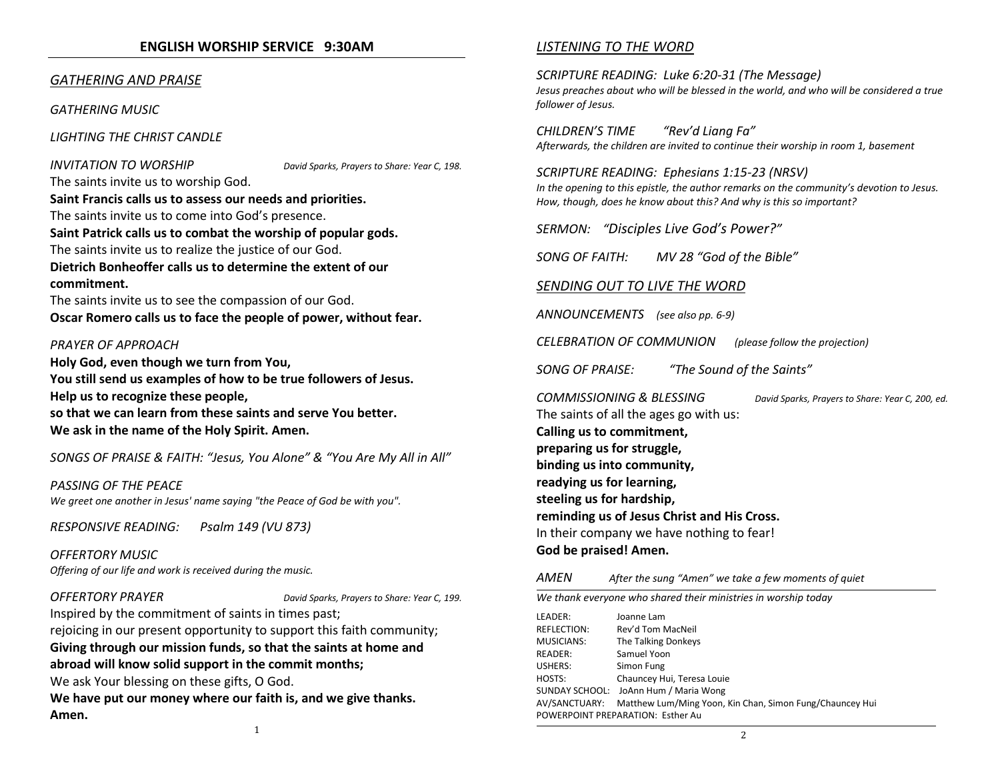### ENGLISH WORSHIP SERVICE 9:30AM

### GATHERING AND PRAISE

GATHERING MUSIC

LIGHTING THE CHRIST CANDLE

**INVITATION TO WORSHIP** David Sparks, Prayers to Share: Year C, 198.

The saints invite us to worship God. Saint Francis calls us to assess our needs and priorities. The saints invite us to come into God's presence. Saint Patrick calls us to combat the worship of popular gods. The saints invite us to realize the justice of our God. Dietrich Bonheoffer calls us to determine the extent of our

commitment. The saints invite us to see the compassion of our God.

Oscar Romero calls us to face the people of power, without fear.

### PRAYER OF APPROACH

Holy God, even though we turn from You, You still send us examples of how to be true followers of Jesus. Help us to recognize these people, so that we can learn from these saints and serve You better. We ask in the name of the Holy Spirit. Amen.

SONGS OF PRAISE & FAITH: "Jesus, You Alone" & "You Are My All in All"

PASSING OF THE PEACE We greet one another in Jesus' name saying "the Peace of God be with you".

RESPONSIVE READING: Psalm 149 (VU 873)

OFFERTORY MUSICOffering of our life and work is received during the music.

OFFERTORY PRAYER David Sparks, Prayers to Share: Year C, 199.

Inspired by the commitment of saints in times past;

rejoicing in our present opportunity to support this faith community; Giving through our mission funds, so that the saints at home and abroad will know solid support in the commit months; We ask Your blessing on these gifts, O God.

We have put our money where our faith is, and we give thanks. Amen.

### LISTENING TO THE WORD

SCRIPTURE READING: Luke 6:20-31 (The Message) Jesus preaches about who will be blessed in the world, and who will be considered a true follower of Jesus.

CHILDREN'S TIME "Rev'd Liang Fa"Afterwards, the children are invited to continue their worship in room 1, basement

SCRIPTURE READING: Ephesians 1:15-23 (NRSV) In the opening to this epistle, the author remarks on the community's devotion to Jesus. How, though, does he know about this? And why is this so important?

SERMON: "Disciples Live God's Power?"

SONG OF FAITH: MV 28 "God of the Bible"

### SENDING OUT TO LIVE THE WORD

ANNOUNCEMENTS (see also pp. 6-9)

CELEBRATION OF COMMUNION (please follow the projection)

SONG OF PRAISE: "The Sound of the Saints"

COMMISSIONING & BLESSING David Sparks, Prayers to Share: Year C, 200, ed.The saints of all the ages go with us: Calling us to commitment, preparing us for struggle, binding us into community, readying us for learning, steeling us for hardship, reminding us of Jesus Christ and His Cross. In their company we have nothing to fear! God be praised! Amen.

### AMENAfter the sung "Amen" we take a few moments of quiet

We thank everyone who shared their ministries in worship today LEADER: Joanne Lam REFLECTION: Rev'd Tom MacNeil MUSICIANS: The Talking Donkeys READER: Samuel Yoon USHERS: Simon Fung HOSTS: Chauncey Hui, Teresa Louie SUNDAY SCHOOL: JoAnn Hum / Maria Wong AV/SANCTUARY: Matthew Lum/Ming Yoon, Kin Chan, Simon Fung/Chauncey Hui POWERPOINT PREPARATION: Esther Au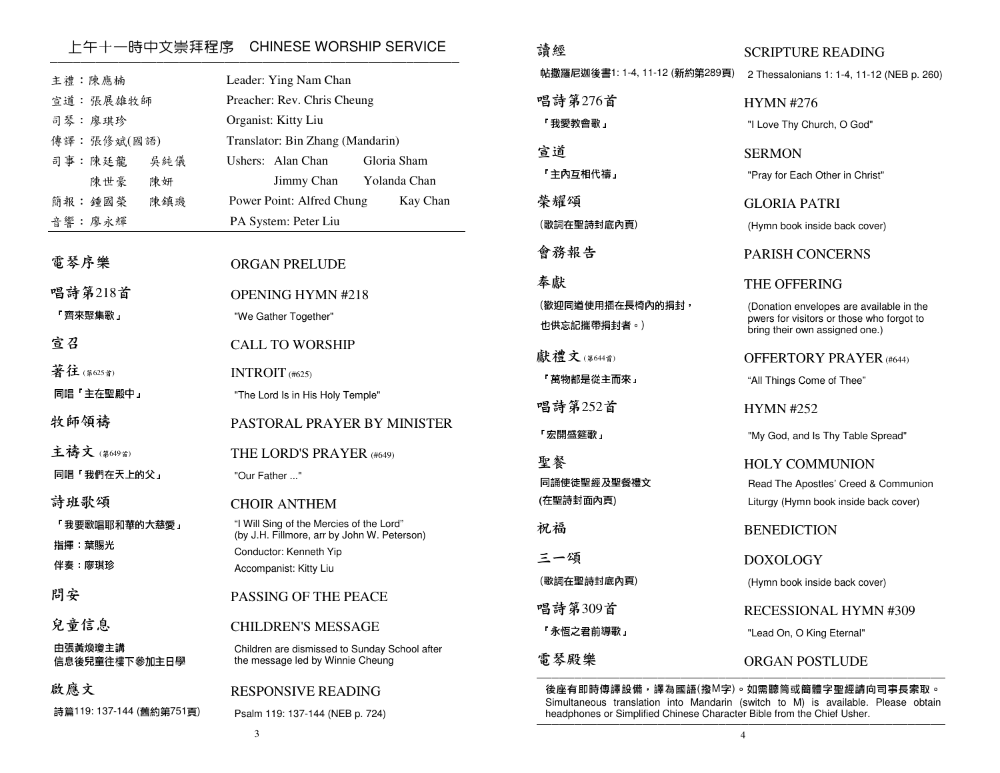## \_\_\_上午十一時中文崇拜程序 CHINESE WORSHIP SERVICE<br>————————————————————————————————

| 主禮:陳應楠<br>宣道: 張展雄牧師<br>司琴:廖琪珍<br>傳譯:張修斌(國語)<br>司事:陳廷龍<br>吳純儀<br>陳世豪<br>陳妍<br>簡報: 鍾國榮<br>陳鎮璣<br>音響:廖永輝 | Leader: Ying Nam Chan<br>Preacher: Rev. Chris Cheung<br>Organist: Kitty Liu<br>Translator: Bin Zhang (Mandarin)<br>Ushers: Alan Chan<br>Gloria Sham<br>Yolanda Chan<br>Jimmy Chan<br>Power Point: Alfred Chung<br>Kay Chan<br>PA System: Peter Liu |  |
|-------------------------------------------------------------------------------------------------------|----------------------------------------------------------------------------------------------------------------------------------------------------------------------------------------------------------------------------------------------------|--|
| 電琴序樂                                                                                                  | <b>ORGAN PRELUDE</b>                                                                                                                                                                                                                               |  |
| 唱詩第218首<br>「齊來聚集歌」                                                                                    | <b>OPENING HYMN #218</b><br>"We Gather Together"                                                                                                                                                                                                   |  |
| 宣召                                                                                                    | <b>CALL TO WORSHIP</b>                                                                                                                                                                                                                             |  |
| 著往(第625首)                                                                                             | INTROIT (#625)                                                                                                                                                                                                                                     |  |
| 同唱「主在聖殿中」                                                                                             | "The Lord Is in His Holy Temple"                                                                                                                                                                                                                   |  |
| 牧師領禱                                                                                                  | PASTORAL PRAYER BY MINISTER                                                                                                                                                                                                                        |  |
| 主禱文(第649首)                                                                                            | THE LORD'S PRAYER (#649)                                                                                                                                                                                                                           |  |
| 同唱「我們在天上的父」                                                                                           | "Our Father "                                                                                                                                                                                                                                      |  |
| 詩班歌頌                                                                                                  | <b>CHOIR ANTHEM</b>                                                                                                                                                                                                                                |  |
| 「我要歌唱耶和華的大慈愛」                                                                                         | "I Will Sing of the Mercies of the Lord"<br>(by J.H. Fillmore, arr by John W. Peterson)                                                                                                                                                            |  |
| 指揮:葉賜光<br>伴奏 廖琪珍                                                                                      | Conductor: Kenneth Yip                                                                                                                                                                                                                             |  |
|                                                                                                       | Accompanist: Kitty Liu                                                                                                                                                                                                                             |  |
| 問安                                                                                                    | <b>PASSING OF THE PEACE</b>                                                                                                                                                                                                                        |  |
| 兒童信息                                                                                                  | <b>CHILDREN'S MESSAGE</b>                                                                                                                                                                                                                          |  |
| 由張黃煥瓊主講<br>信息後兒童往樓下參加主日學                                                                              | Children are dismissed to Sunday School after<br>the message led by Winnie Cheung                                                                                                                                                                  |  |
| 啟應文                                                                                                   | <b>RESPONSIVE READING</b>                                                                                                                                                                                                                          |  |
| 詩篇119: 137-144 (舊約第751頁)                                                                              | Psalm 119: 137-144 (NEB p. 724)                                                                                                                                                                                                                    |  |

| 請經                              | <b>SCRIPTURE READING</b>                                                                                                |
|---------------------------------|-------------------------------------------------------------------------------------------------------------------------|
| 帖撒羅尼迦後書1: 1-4, 11-12 (新約第289頁)  | 2 Thessalonians 1: 1-4, 11-12 (NEB p. 260)                                                                              |
| 唱詩第276首                         | <b>HYMN #276</b>                                                                                                        |
| 「我愛教會歌」                         | "I Love Thy Church, O God"                                                                                              |
| 宣道                              | <b>SERMON</b>                                                                                                           |
| 「主內互相代禱」                        | "Pray for Each Other in Christ"                                                                                         |
| 榮耀頌                             | GLORIA PATRI                                                                                                            |
| (歌詞在聖詩封底內頁)                     | (Hymn book inside back cover)                                                                                           |
| 會務報告                            | <b>PARISH CONCERNS</b>                                                                                                  |
| 奉獻                              | THE OFFERING                                                                                                            |
| (歡迎同道使用插在長椅內的捐封,<br>也供忘記攜帶捐封者。) | (Donation envelopes are available in the<br>pwers for visitors or those who forgot to<br>bring their own assigned one.) |
| 獻禮文(第644首)                      | <b>OFFERTORY PRAYER</b> (#644)                                                                                          |
| 「萬物都是從主而來」                      | "All Things Come of Thee"                                                                                               |
| 唱詩第252首                         | <b>HYMN #252</b>                                                                                                        |
| 「宏開盛筵歌」                         | "My God, and Is Thy Table Spread"                                                                                       |
| 聖餐                              | <b>HOLY COMMUNION</b>                                                                                                   |
| 同誦使徒聖經及聖餐禮文                     | Read The Apostles' Creed & Communion                                                                                    |
| (在聖詩封面內頁)                       | Liturgy (Hymn book inside back cover)                                                                                   |
| 祝福                              | <b>BENEDICTION</b>                                                                                                      |
| 三一頌                             | DOXOLOGY                                                                                                                |
| (歌詞在聖詩封底內頁)                     | (Hymn book inside back cover)                                                                                           |
| 唱詩第309首                         | RECESSIONAL HYMN #309                                                                                                   |
| 「永恆之君前導歌」                       | "Lead On, O King Eternal"                                                                                               |
| 電琴殿樂                            | <b>ORGAN POSTLUDE</b>                                                                                                   |
|                                 |                                                                                                                         |

後座有即時傳譯設備,譯為國語(撥M字)。如需聽筒或簡體字聖經請向司事長索取。 Simultaneous translation into Mandarin (switch to M) is available. Please obtain headphones or Simplified Chinese Character Bible from the Chief Usher.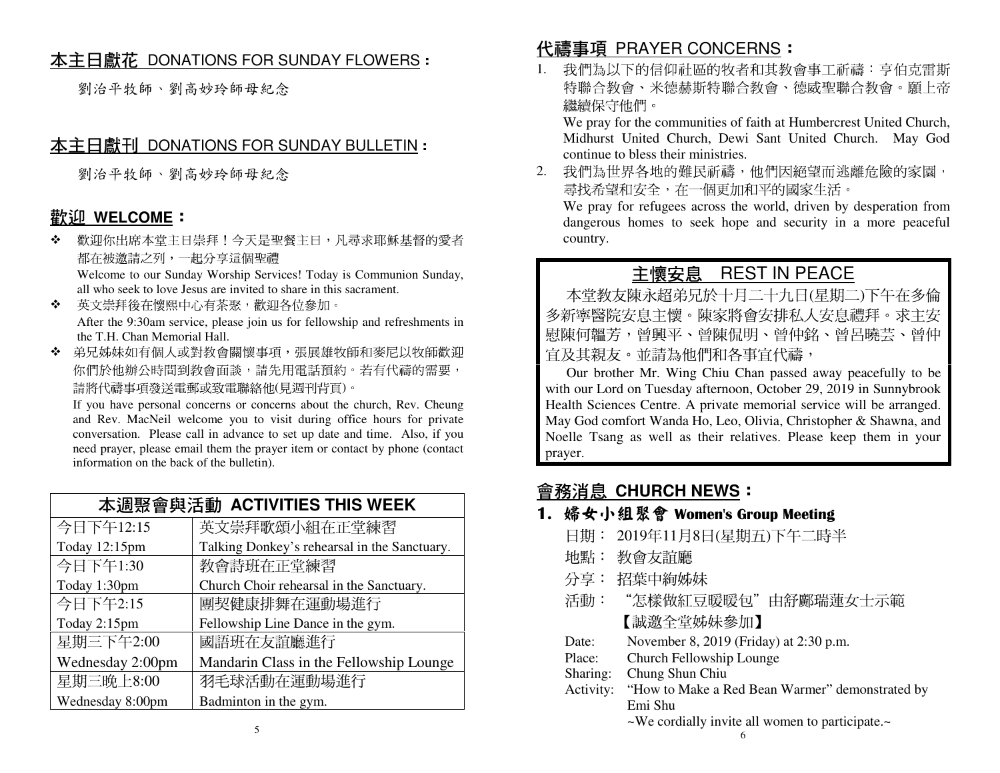## <u>本主日獻花 DONATIONS FOR SUNDAY FLOWERS</u> :<br>.

劉治平牧師、劉高妙玲師母紀念

## <u>本主日獻刊 DONATIONS FOR SUNDAY BULLETIN</u> :<br>.

劉治平牧師、劉高妙玲師母紀念

## <u>歡迎 WELCOME</u>:<br>◆ 警测你出度太常主

❖ 歡迎你出席本堂主日崇拜!今天是聖餐主日,凡尋求耶穌基督的愛者都在被邀請之列,一起分享這個聖禮Welcome to our Sunday Worship Services! Today is Communion Sunday,

all who seek to love Jesus are invited to share in this sacrament.

- $\cdot$  英文崇拜後在懷熙中心有茶聚,歡迎各位參加。 After the 9:30am service, please join us for fellowship and refreshments in the T.H. Chan Memorial Hall.
- ◆ 弟兄姊妹如有個人或對教會關懷事項,張展雄牧師和麥尼以牧師歡迎 你們於他辦公時間到教會面談,請先用電話預約。若有代禱的需要, 請將代禱事項發送電郵或致電聯絡他(見週刊背頁)。

 If you have personal concerns or concerns about the church, Rev. Cheung and Rev. MacNeil welcome you to visit during office hours for private conversation. Please call in advance to set up date and time. Also, if you need prayer, please email them the prayer item or contact by phone (contact information on the back of the bulletin).

| 本週聚會與活動 ACTIVITIES THIS WEEK |                                              |  |
|------------------------------|----------------------------------------------|--|
| 今日下午12:15                    | 英文崇拜歌頌小組在正堂練習                                |  |
| Today 12:15pm                | Talking Donkey's rehearsal in the Sanctuary. |  |
| 今日下午1:30                     | 教會詩班在正堂練習                                    |  |
| Today 1:30pm                 | Church Choir rehearsal in the Sanctuary.     |  |
| 今日下午2:15                     | 團契健康排舞在運動場進行                                 |  |
| Today 2:15pm                 | Fellowship Line Dance in the gym.            |  |
| 星期三下午2:00                    | 國語班在友誼廳進行                                    |  |
| Wednesday 2:00pm             | Mandarin Class in the Fellowship Lounge      |  |
| 星期三晚上8:00                    | 羽毛球活動在運動場進行                                  |  |
| Wednesday 8:00pm             | Badminton in the gym.                        |  |

# <mark>代禱事項 PRAYER CONCERNS</mark> :<br>1  我們為以下的信仰社區的牧老和其<del>物</del>

1. 我們為以下的信仰社區的牧者和其教會事工祈禱:亨伯克雷斯 特聯合教會、米德赫斯特聯合教會、德威聖聯合教會。願上帝繼續保守他們。

 We pray for the communities of faith at Humbercrest United Church, Midhurst United Church, Dewi Sant United Church. May God continue to bless their ministries.

2. 我們為世界各地的難民祈禱,他們因絕望而逃離危險的家園, 尋找希望和安全,在一個更加和平的國家生活。

 We pray for refugees across the world, driven by desperation from dangerous homes to seek hope and security in a more peaceful country.

# 主<u>懷安息 REST IN PEACE</u><br>#永超弟兄於十旦二十九日(見期二

本堂教友陳永超弟兄於十月二十九日(星期二)下午在多倫 多新寧醫院安息主懷。陳家將會安排私人安息禮拜。求主安 慰陳何韞芳,曾興平、曾陳侃明、曾仲銘、曾呂曉芸、曾仲宜及其親友。並請為他們和各事宜代禱,

 Our brother Mr. Wing Chiu Chan passed away peacefully to be with our Lord on Tuesday afternoon, October 29, 2019 in Sunnybrook Health Sciences Centre. A private memorial service will be arranged. May God comfort Wanda Ho, Leo, Olivia, Christopher & Shawna, and Noelle Tsang as well as their relatives. Please keep them in your prayer.

## 會務消息 **CHURCH NEWS**:

## 1. 婦女小組聚會 Women's Group Meeting

- 日期: 2019年11月8日(星期五)下午二時半
- 地點: 教會友誼廳
- 分享: 招葉中絢姊妹
- 活動:"怎樣做紅豆暖暖包"由舒鄺瑞蓮女士示範 【誠邀全堂姊妹參加】
- Date: November 8, 2019 (Friday) at 2:30 p.m.
- Place: Church Fellowship Lounge
- Sharing: Chung Shun Chiu
- Activity: "How to Make a Red Bean Warmer" demonstrated by Emi Shu

~We cordially invite all women to participate.~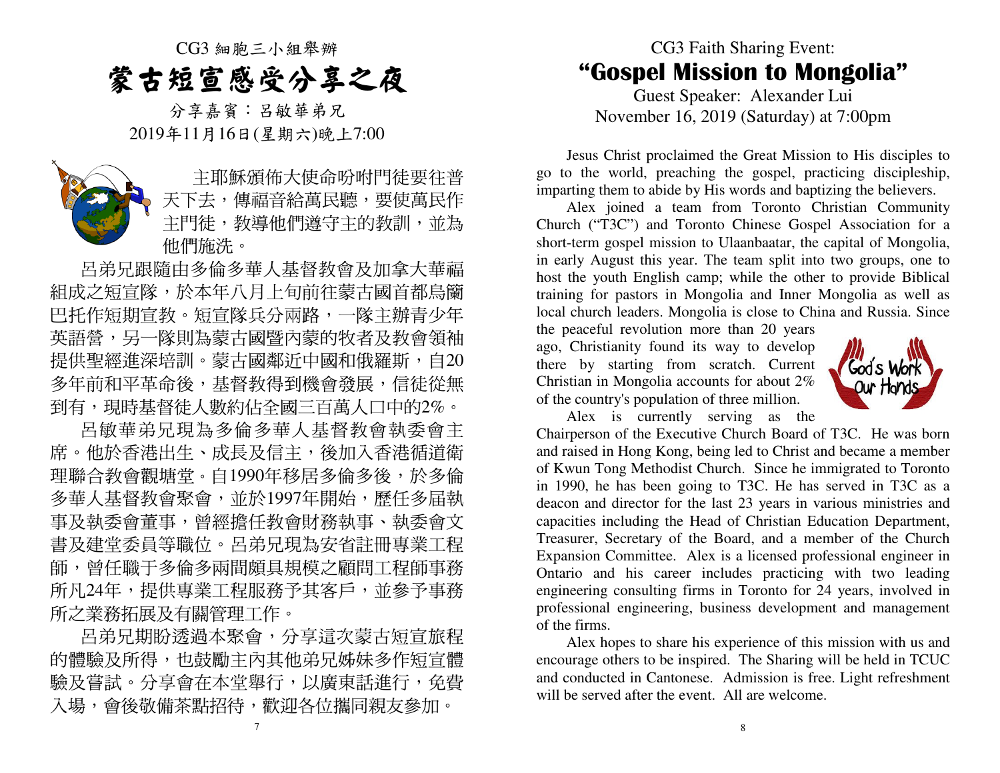CG3 細胞三小組舉辦蒙古短宣感受分享之夜

分享嘉賓:呂敏華弟兄2019年11月16日(星期六)晚上7:00



主耶穌頒佈大使命吩咐門徒要往普 天下去,傳福音給萬民聽,要使萬民作主門徒,教導他們遵守主的教訓,並為 他們施洗。

 呂弟兄跟隨由多倫多華人基督教會及加拿大華福 組成之短宣隊,於本年八月上旬前往蒙古國首都烏籣巴托作短期宣教。短宣隊兵分兩路,一隊主辦青少年 英語營,另一隊則為蒙古國暨內蒙的牧者及教會領袖 提供聖經進深培訓。蒙古國鄰近中國和俄羅斯,自20 多年前和平革命後,基督教得到機會發展,信徒從無 到有,現時基督徒人數約佔全國三百萬人口中的2%。

 呂敏華弟兄現為多倫多華人基督教會執委會主席。他於香港出生、成長及信主,後加入香港循道衛 理聯合教會觀塘堂。自1990年移居多倫多後,於多倫多華人基督教會聚會,並於1997年開始,歷任多届執 事及執委會董事,曾經擔任教會財務執事、執委會文 書及建堂委員等職位。呂弟兄現為安省註冊專業工程 師,曾任職于多倫多兩間頗具規模之顧問工程師事務所凡24年,提供專業工程服務予其客戶,並參予事務 所之業務拓展及有關管理工作。

呂弟兄期盼透過本聚會,分享這次蒙古短宣旅程 的體驗及所得,也鼓勵主內其他弟兄姊妹多作短宣體驗及嘗試。分享會在本堂舉行,以廣東話進行,免費 入場,會後敬備茶點招待,歡迎各位攜同親友參加。

## CG3 Faith Sharing Event: "Gospel Mission to Mongolia"

Guest Speaker: Alexander Lui November 16, 2019 (Saturday) at 7:00pm

 Jesus Christ proclaimed the Great Mission to His disciples to go to the world, preaching the gospel, practicing discipleship, imparting them to abide by His words and baptizing the believers.

 Alex joined a team from Toronto Christian Community Church ("T3C") and Toronto Chinese Gospel Association for a short-term gospel mission to Ulaanbaatar, the capital of Mongolia, in early August this year. The team split into two groups, one to host the youth English camp; while the other to provide Biblical training for pastors in Mongolia and Inner Mongolia as well as local church leaders. Mongolia is close to China and Russia. Since

the peaceful revolution more than 20 years ago, Christianity found its way to develop there by starting from scratch. Current Christian in Mongolia accounts for about 2% of the country's population of three million.



Alex is currently serving as the

 Chairperson of the Executive Church Board of T3C. He was born and raised in Hong Kong, being led to Christ and became a member of Kwun Tong Methodist Church. Since he immigrated to Toronto in 1990, he has been going to T3C. He has served in T3C as a deacon and director for the last 23 years in various ministries and capacities including the Head of Christian Education Department, Treasurer, Secretary of the Board, and a member of the Church Expansion Committee. Alex is a licensed professional engineer in Ontario and his career includes practicing with two leading engineering consulting firms in Toronto for 24 years, involved in professional engineering, business development and management of the firms.

 Alex hopes to share his experience of this mission with us and encourage others to be inspired. The Sharing will be held in TCUC and conducted in Cantonese. Admission is free. Light refreshment will be served after the event. All are welcome.

7